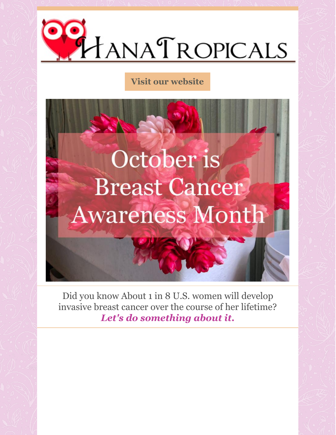

#### **Visit our [website](http://www.hanatropicals.com)**

# October is **Breast Cancer Awareness Month**

Did you know About 1 in 8 U.S. women will develop invasive breast cancer over the course of her lifetime? *Let's do something about it.*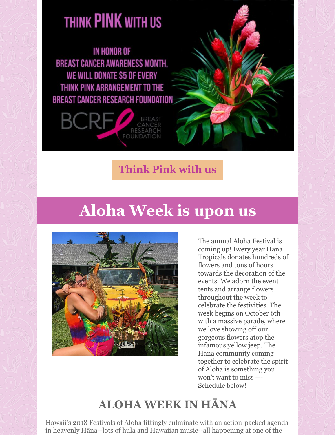# THINK PINK WITH US

**IN HONOR OF BREAST CANCER AWARENESS MONTH.** WE WILL DONATE \$5 OF EVERY THINK PINK ARRANGEMENT TO THE BREAST CANCER RESEARCH FOUNDATION



**[Think](http://www.hanatropicals.com/arrangements) Pink with us**

# **Aloha Week is upon us**



The annual Aloha Festival is coming up! Every year Hana Tropicals donates hundreds of flowers and tons of hours towards the decoration of the events. We adorn the event tents and arrange flowers throughout the week to celebrate the festivities. The week begins on October 6th with a massive parade, where we love showing off our gorgeous flowers atop the infamous yellow jeep. The Hana community coming together to celebrate the spirit of Aloha is something you won't want to miss --- Schedule below!

## **ALOHA WEEK IN HĀNA**

Hawaii's 2018 Festivals of Aloha fittingly culminate with an action-packed agenda in heavenly Hāna--lots of hula and Hawaiian music--all happening at one of the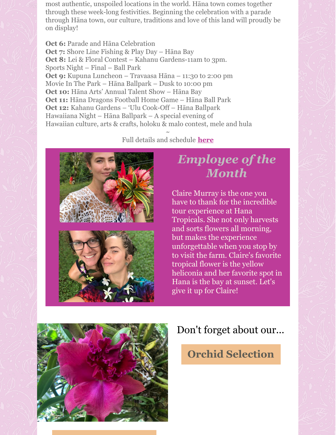most authentic, unspoiled locations in the world. Hāna town comes together through these week-long festivities. Beginning the celebration with a parade through Hāna town, our culture, traditions and love of this land will proudly be on display!

**Oct 6:** Parade and Hāna Celebration **Oct 7:** Shore Line Fishing & Play Day – Hāna Bay **Oct 8:** Lei & Floral Contest – Kahanu Gardens-11am to 3pm. Sports Night – Final – Ball Park **Oct 9:** Kupuna Luncheon – Travaasa Hāna – 11:30 to 2:00 pm Movie In The Park – Hāna Ballpark – Dusk to 10:00 pm **Oct 10:** Hāna Arts' Annual Talent Show – Hāna Bay **Oct 11:** Hāna Dragons Football Home Game – Hāna Ball Park **Oct 12:** Kahanu Gardens – 'Ulu Cook-Off – Hāna Ballpark Hawaiiana Night – Hāna Ballpark – A special evening of Hawaiian culture, arts & crafts, holoku & malo contest, mele and hula

> $\sim$ Full details and schedule **[here](https://www.festivalsofaloha.com/2018-schedule-of-events/)**





## *Employee of the Month*

Claire Murray is the one you have to thank for the incredible tour experience at Hana Tropicals. She not only harvests and sorts flowers all morning, but makes the experience unforgettable when you stop by to visit the farm. Claire's favorite tropical flower is the yellow heliconia and her favorite spot in Hana is the bay at sunset. Let's give it up for Claire!



#### Don't forget about our...

#### **Orchid [Selection](http://hanatropicals.com/orchids-1/)**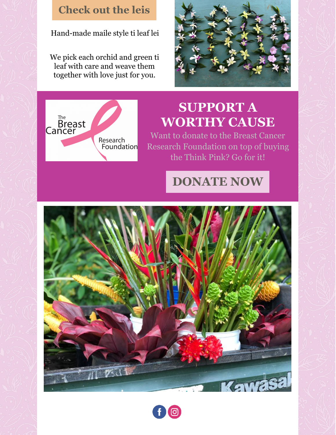#### **[Check](http://hanatropicals.com/hawaiianmailestyletileaf/) out the leis**

Hand-made maile style ti leaf lei

We pick each orchid and green ti leaf with care and weave them together with love just for you.





# **SUPPORT A WORTHY CAUSE**

Want to donate to the Breast Cancer Research Foundation on top of buying the Think Pink? Go for it!

### **[DONATE](https://www.bcrf.org/) NOW**